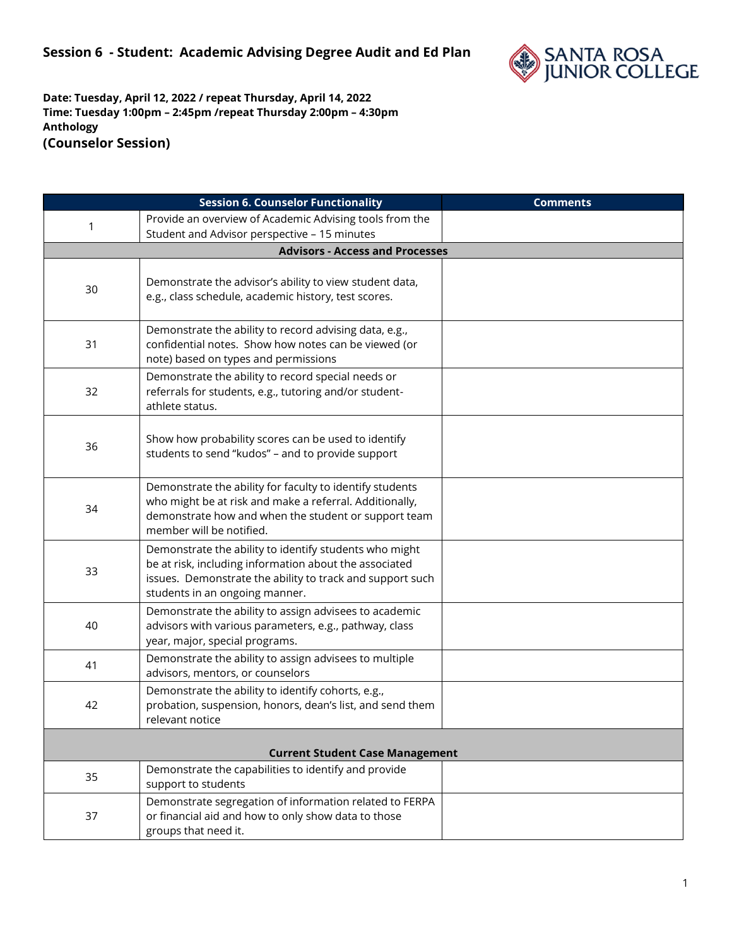

|                                        | <b>Session 6. Counselor Functionality</b>                                                                                                                                                                       | <b>Comments</b> |  |
|----------------------------------------|-----------------------------------------------------------------------------------------------------------------------------------------------------------------------------------------------------------------|-----------------|--|
| 1                                      | Provide an overview of Academic Advising tools from the                                                                                                                                                         |                 |  |
|                                        | Student and Advisor perspective - 15 minutes                                                                                                                                                                    |                 |  |
|                                        | <b>Advisors - Access and Processes</b>                                                                                                                                                                          |                 |  |
| 30                                     | Demonstrate the advisor's ability to view student data,<br>e.g., class schedule, academic history, test scores.                                                                                                 |                 |  |
| 31                                     | Demonstrate the ability to record advising data, e.g.,<br>confidential notes. Show how notes can be viewed (or<br>note) based on types and permissions                                                          |                 |  |
| 32                                     | Demonstrate the ability to record special needs or<br>referrals for students, e.g., tutoring and/or student-<br>athlete status.                                                                                 |                 |  |
| 36                                     | Show how probability scores can be used to identify<br>students to send "kudos" - and to provide support                                                                                                        |                 |  |
| 34                                     | Demonstrate the ability for faculty to identify students<br>who might be at risk and make a referral. Additionally,<br>demonstrate how and when the student or support team<br>member will be notified.         |                 |  |
| 33                                     | Demonstrate the ability to identify students who might<br>be at risk, including information about the associated<br>issues. Demonstrate the ability to track and support such<br>students in an ongoing manner. |                 |  |
| 40                                     | Demonstrate the ability to assign advisees to academic<br>advisors with various parameters, e.g., pathway, class<br>year, major, special programs.                                                              |                 |  |
| 41                                     | Demonstrate the ability to assign advisees to multiple<br>advisors, mentors, or counselors                                                                                                                      |                 |  |
| 42                                     | Demonstrate the ability to identify cohorts, e.g.,<br>probation, suspension, honors, dean's list, and send them<br>relevant notice                                                                              |                 |  |
| <b>Current Student Case Management</b> |                                                                                                                                                                                                                 |                 |  |
| 35                                     | Demonstrate the capabilities to identify and provide<br>support to students                                                                                                                                     |                 |  |
| 37                                     | Demonstrate segregation of information related to FERPA<br>or financial aid and how to only show data to those<br>groups that need it.                                                                          |                 |  |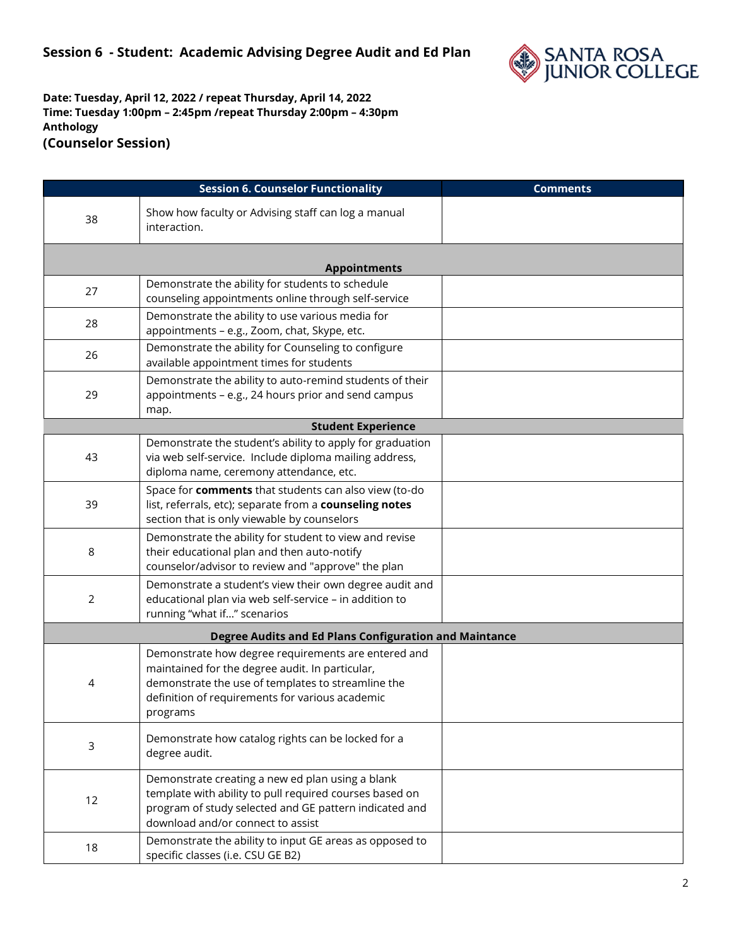

|                     | <b>Session 6. Counselor Functionality</b>                                                                                                                                                                                   | <b>Comments</b> |  |  |
|---------------------|-----------------------------------------------------------------------------------------------------------------------------------------------------------------------------------------------------------------------------|-----------------|--|--|
| 38                  | Show how faculty or Advising staff can log a manual<br>interaction.                                                                                                                                                         |                 |  |  |
| <b>Appointments</b> |                                                                                                                                                                                                                             |                 |  |  |
| 27                  | Demonstrate the ability for students to schedule<br>counseling appointments online through self-service                                                                                                                     |                 |  |  |
| 28                  | Demonstrate the ability to use various media for<br>appointments - e.g., Zoom, chat, Skype, etc.                                                                                                                            |                 |  |  |
| 26                  | Demonstrate the ability for Counseling to configure<br>available appointment times for students                                                                                                                             |                 |  |  |
| 29                  | Demonstrate the ability to auto-remind students of their<br>appointments - e.g., 24 hours prior and send campus<br>map.                                                                                                     |                 |  |  |
|                     | <b>Student Experience</b>                                                                                                                                                                                                   |                 |  |  |
| 43                  | Demonstrate the student's ability to apply for graduation<br>via web self-service. Include diploma mailing address,<br>diploma name, ceremony attendance, etc.                                                              |                 |  |  |
| 39                  | Space for comments that students can also view (to-do<br>list, referrals, etc); separate from a counseling notes<br>section that is only viewable by counselors                                                             |                 |  |  |
| 8                   | Demonstrate the ability for student to view and revise<br>their educational plan and then auto-notify<br>counselor/advisor to review and "approve" the plan                                                                 |                 |  |  |
| 2                   | Demonstrate a student's view their own degree audit and<br>educational plan via web self-service - in addition to<br>running "what if" scenarios                                                                            |                 |  |  |
|                     | Degree Audits and Ed Plans Configuration and Maintance                                                                                                                                                                      |                 |  |  |
| 4                   | Demonstrate how degree requirements are entered and<br>maintained for the degree audit. In particular,<br>demonstrate the use of templates to streamline the<br>definition of requirements for various academic<br>programs |                 |  |  |
| 3                   | Demonstrate how catalog rights can be locked for a<br>degree audit.                                                                                                                                                         |                 |  |  |
| 12                  | Demonstrate creating a new ed plan using a blank<br>template with ability to pull required courses based on<br>program of study selected and GE pattern indicated and<br>download and/or connect to assist                  |                 |  |  |
| 18                  | Demonstrate the ability to input GE areas as opposed to<br>specific classes (i.e. CSU GE B2)                                                                                                                                |                 |  |  |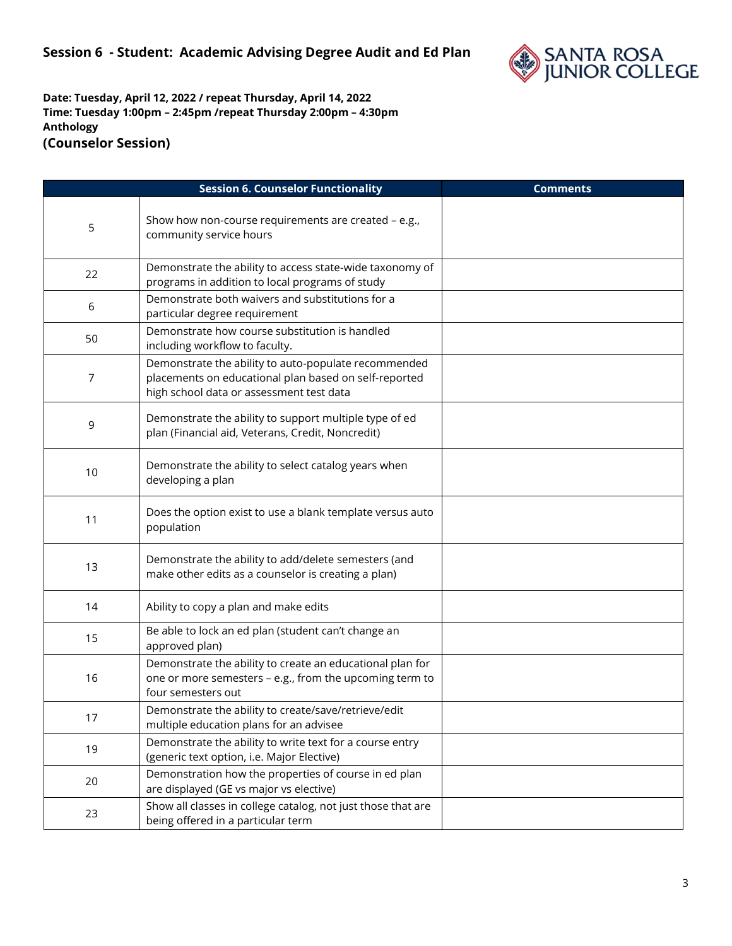

|    | <b>Session 6. Counselor Functionality</b>                                                                                                                 | <b>Comments</b> |
|----|-----------------------------------------------------------------------------------------------------------------------------------------------------------|-----------------|
| 5  | Show how non-course requirements are created - e.g.,<br>community service hours                                                                           |                 |
| 22 | Demonstrate the ability to access state-wide taxonomy of<br>programs in addition to local programs of study                                               |                 |
| 6  | Demonstrate both waivers and substitutions for a<br>particular degree requirement                                                                         |                 |
| 50 | Demonstrate how course substitution is handled<br>including workflow to faculty.                                                                          |                 |
| 7  | Demonstrate the ability to auto-populate recommended<br>placements on educational plan based on self-reported<br>high school data or assessment test data |                 |
| 9  | Demonstrate the ability to support multiple type of ed<br>plan (Financial aid, Veterans, Credit, Noncredit)                                               |                 |
| 10 | Demonstrate the ability to select catalog years when<br>developing a plan                                                                                 |                 |
| 11 | Does the option exist to use a blank template versus auto<br>population                                                                                   |                 |
| 13 | Demonstrate the ability to add/delete semesters (and<br>make other edits as a counselor is creating a plan)                                               |                 |
| 14 | Ability to copy a plan and make edits                                                                                                                     |                 |
| 15 | Be able to lock an ed plan (student can't change an<br>approved plan)                                                                                     |                 |
| 16 | Demonstrate the ability to create an educational plan for<br>one or more semesters - e.g., from the upcoming term to<br>four semesters out                |                 |
| 17 | Demonstrate the ability to create/save/retrieve/edit<br>multiple education plans for an advisee                                                           |                 |
| 19 | Demonstrate the ability to write text for a course entry<br>(generic text option, i.e. Major Elective)                                                    |                 |
| 20 | Demonstration how the properties of course in ed plan<br>are displayed (GE vs major vs elective)                                                          |                 |
| 23 | Show all classes in college catalog, not just those that are<br>being offered in a particular term                                                        |                 |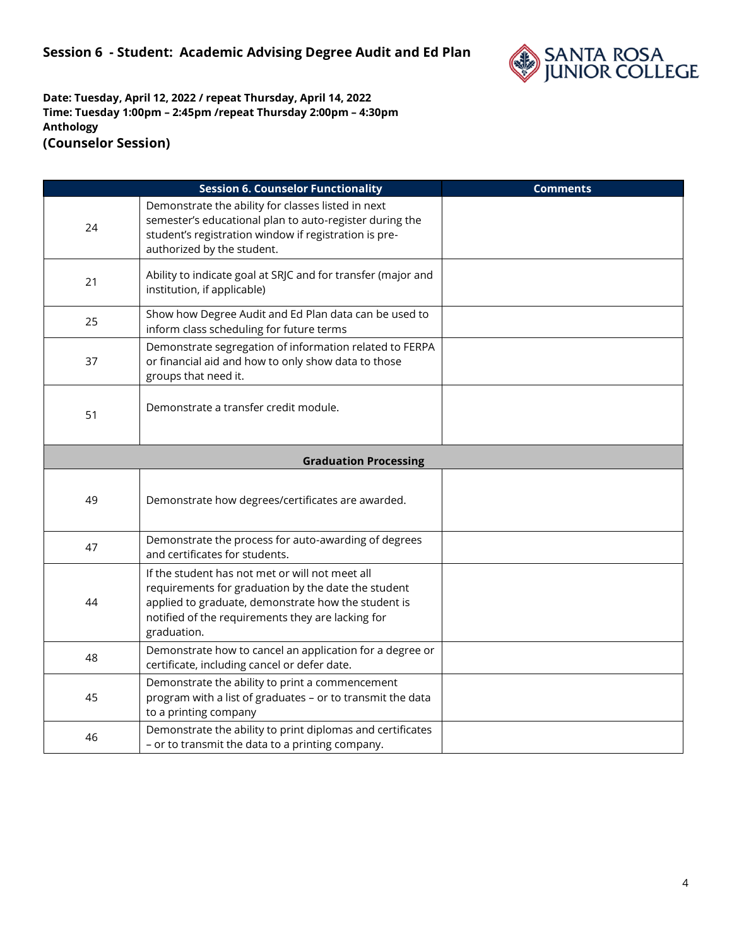

|    | <b>Session 6. Counselor Functionality</b>                                                                                                                                                                                         | <b>Comments</b> |  |
|----|-----------------------------------------------------------------------------------------------------------------------------------------------------------------------------------------------------------------------------------|-----------------|--|
| 24 | Demonstrate the ability for classes listed in next<br>semester's educational plan to auto-register during the<br>student's registration window if registration is pre-<br>authorized by the student.                              |                 |  |
| 21 | Ability to indicate goal at SRJC and for transfer (major and<br>institution, if applicable)                                                                                                                                       |                 |  |
| 25 | Show how Degree Audit and Ed Plan data can be used to<br>inform class scheduling for future terms                                                                                                                                 |                 |  |
| 37 | Demonstrate segregation of information related to FERPA<br>or financial aid and how to only show data to those<br>groups that need it.                                                                                            |                 |  |
| 51 | Demonstrate a transfer credit module.                                                                                                                                                                                             |                 |  |
|    | <b>Graduation Processing</b>                                                                                                                                                                                                      |                 |  |
| 49 | Demonstrate how degrees/certificates are awarded.                                                                                                                                                                                 |                 |  |
| 47 | Demonstrate the process for auto-awarding of degrees<br>and certificates for students.                                                                                                                                            |                 |  |
| 44 | If the student has not met or will not meet all<br>requirements for graduation by the date the student<br>applied to graduate, demonstrate how the student is<br>notified of the requirements they are lacking for<br>graduation. |                 |  |
| 48 | Demonstrate how to cancel an application for a degree or<br>certificate, including cancel or defer date.                                                                                                                          |                 |  |
| 45 | Demonstrate the ability to print a commencement<br>program with a list of graduates - or to transmit the data<br>to a printing company                                                                                            |                 |  |
| 46 | Demonstrate the ability to print diplomas and certificates<br>- or to transmit the data to a printing company.                                                                                                                    |                 |  |